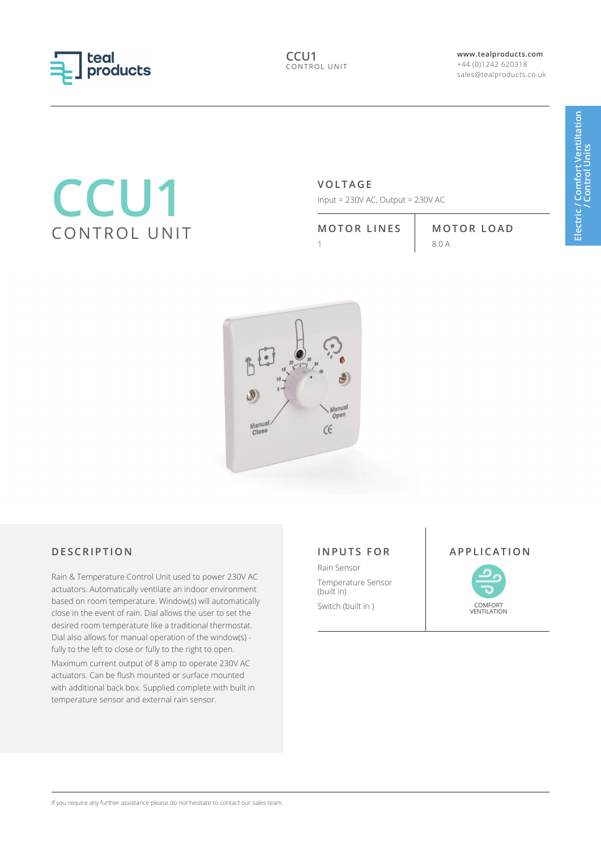

**www.tealproducts.com** +44 (0)1242 620318 sales@tealproducts.co.uk

# **CCU1** CONTROL UNIT

## **VOLTAGE**

Input = 230V AC, Output = 230V AC

**MOTOR LOAD** 1 8.0 A



## **DESCRIPTION APPLICATION**

Rain & Temperature Control Unit used to power 230V AC actuators. Automatically ventilate an indoor environment based on room temperature. Window(s) will automatically close in the event of rain. Dial allows the user to set the desired room temperature like a traditional thermostat. Dial also allows for manual operation of the window(s) fully to the left to close or fully to the right to open. Maximum current output of 8 amp to operate 230V AC actuators. Can be flush mounted or surface mounted

with additional back box. Supplied complete with built in

temperature sensor and external rain sensor.

#### **INPUTS FOR**

Rain Sensor Temperature Sensor (built in) Switch (built in ) COMFORT